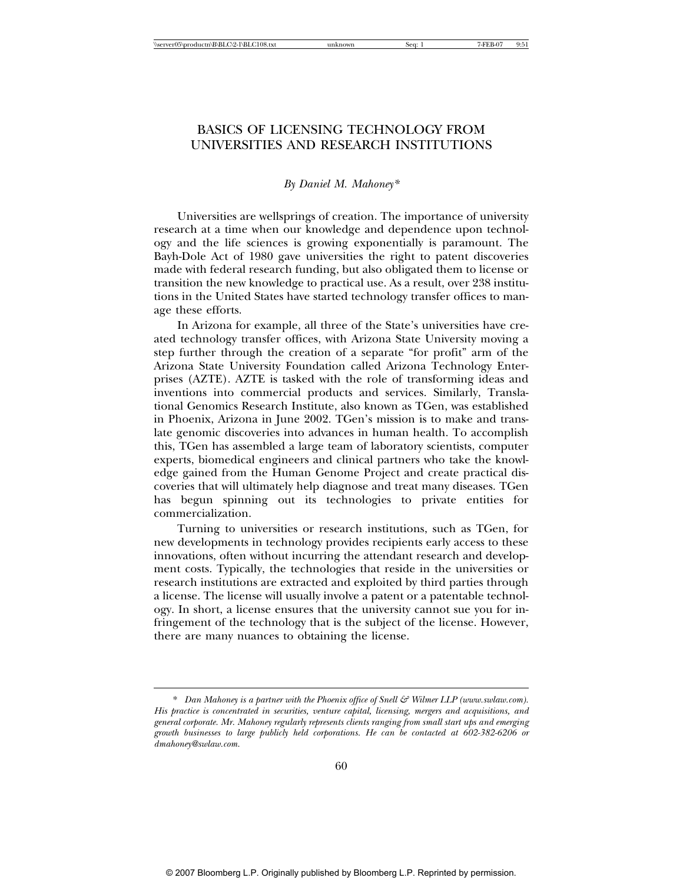# BASICS OF LICENSING TECHNOLOGY FROM UNIVERSITIES AND RESEARCH INSTITUTIONS

## *By Daniel M. Mahoney\**

Universities are wellsprings of creation. The importance of university research at a time when our knowledge and dependence upon technology and the life sciences is growing exponentially is paramount. The Bayh-Dole Act of 1980 gave universities the right to patent discoveries made with federal research funding, but also obligated them to license or transition the new knowledge to practical use. As a result, over 238 institutions in the United States have started technology transfer offices to manage these efforts.

In Arizona for example, all three of the State's universities have created technology transfer offices, with Arizona State University moving a step further through the creation of a separate "for profit" arm of the Arizona State University Foundation called Arizona Technology Enterprises (AZTE). AZTE is tasked with the role of transforming ideas and inventions into commercial products and services. Similarly, Translational Genomics Research Institute, also known as TGen, was established in Phoenix, Arizona in June 2002. TGen's mission is to make and translate genomic discoveries into advances in human health. To accomplish this, TGen has assembled a large team of laboratory scientists, computer experts, biomedical engineers and clinical partners who take the knowledge gained from the Human Genome Project and create practical discoveries that will ultimately help diagnose and treat many diseases. TGen has begun spinning out its technologies to private entities for commercialization.

Turning to universities or research institutions, such as TGen, for new developments in technology provides recipients early access to these innovations, often without incurring the attendant research and development costs. Typically, the technologies that reside in the universities or research institutions are extracted and exploited by third parties through a license. The license will usually involve a patent or a patentable technology. In short, a license ensures that the university cannot sue you for infringement of the technology that is the subject of the license. However, there are many nuances to obtaining the license.

<sup>\*</sup> *Dan Mahoney is a partner with the Phoenix office of Snell & Wilmer LLP (www.swlaw.com). His practice is concentrated in securities, venture capital, licensing, mergers and acquisitions, and general corporate. Mr. Mahoney regularly represents clients ranging from small start ups and emerging growth businesses to large publicly held corporations. He can be contacted at 602-382-6206 or dmahoney@swlaw.com.*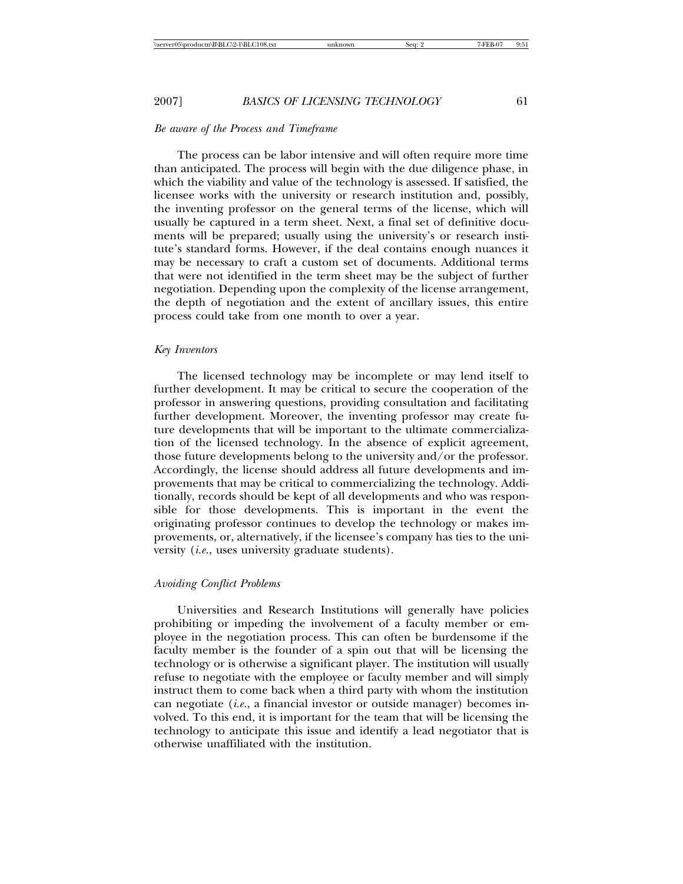# *Be aware of the Process and Timeframe*

The process can be labor intensive and will often require more time than anticipated. The process will begin with the due diligence phase, in which the viability and value of the technology is assessed. If satisfied, the licensee works with the university or research institution and, possibly, the inventing professor on the general terms of the license, which will usually be captured in a term sheet. Next, a final set of definitive documents will be prepared; usually using the university's or research institute's standard forms. However, if the deal contains enough nuances it may be necessary to craft a custom set of documents. Additional terms that were not identified in the term sheet may be the subject of further negotiation. Depending upon the complexity of the license arrangement, the depth of negotiation and the extent of ancillary issues, this entire process could take from one month to over a year.

# *Key Inventors*

The licensed technology may be incomplete or may lend itself to further development. It may be critical to secure the cooperation of the professor in answering questions, providing consultation and facilitating further development. Moreover, the inventing professor may create future developments that will be important to the ultimate commercialization of the licensed technology. In the absence of explicit agreement, those future developments belong to the university and/or the professor. Accordingly, the license should address all future developments and improvements that may be critical to commercializing the technology. Additionally, records should be kept of all developments and who was responsible for those developments. This is important in the event the originating professor continues to develop the technology or makes improvements, or, alternatively, if the licensee's company has ties to the university (*i.e*., uses university graduate students).

#### *Avoiding Conflict Problems*

Universities and Research Institutions will generally have policies prohibiting or impeding the involvement of a faculty member or employee in the negotiation process. This can often be burdensome if the faculty member is the founder of a spin out that will be licensing the technology or is otherwise a significant player. The institution will usually refuse to negotiate with the employee or faculty member and will simply instruct them to come back when a third party with whom the institution can negotiate (*i.e*., a financial investor or outside manager) becomes involved. To this end, it is important for the team that will be licensing the technology to anticipate this issue and identify a lead negotiator that is otherwise unaffiliated with the institution.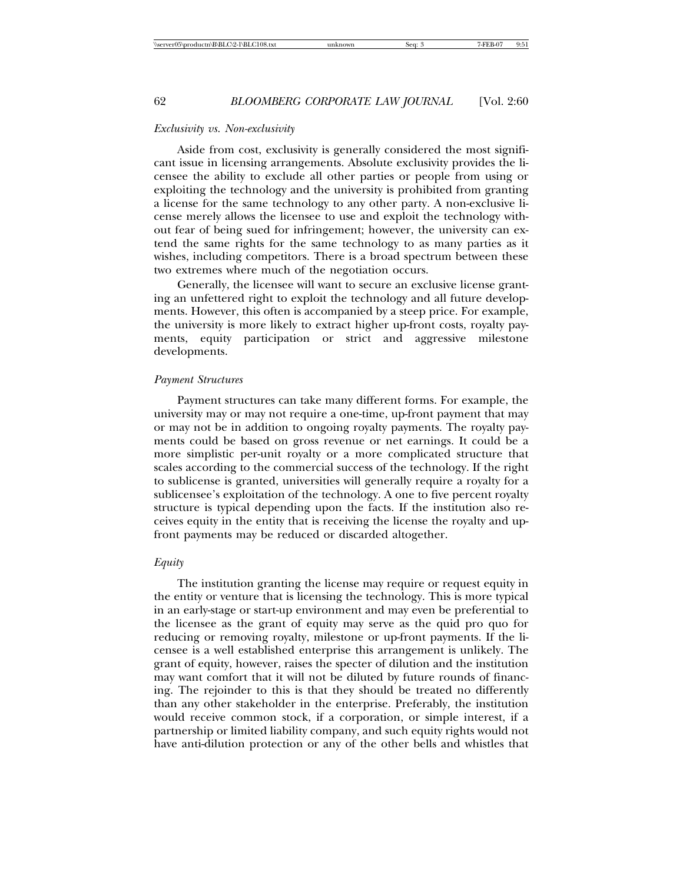# *Exclusivity vs. Non-exclusivity*

Aside from cost, exclusivity is generally considered the most significant issue in licensing arrangements. Absolute exclusivity provides the licensee the ability to exclude all other parties or people from using or exploiting the technology and the university is prohibited from granting a license for the same technology to any other party. A non-exclusive license merely allows the licensee to use and exploit the technology without fear of being sued for infringement; however, the university can extend the same rights for the same technology to as many parties as it wishes, including competitors. There is a broad spectrum between these two extremes where much of the negotiation occurs.

Generally, the licensee will want to secure an exclusive license granting an unfettered right to exploit the technology and all future developments. However, this often is accompanied by a steep price. For example, the university is more likely to extract higher up-front costs, royalty payments, equity participation or strict and aggressive milestone developments.

### *Payment Structures*

Payment structures can take many different forms. For example, the university may or may not require a one-time, up-front payment that may or may not be in addition to ongoing royalty payments. The royalty payments could be based on gross revenue or net earnings. It could be a more simplistic per-unit royalty or a more complicated structure that scales according to the commercial success of the technology. If the right to sublicense is granted, universities will generally require a royalty for a sublicensee's exploitation of the technology. A one to five percent royalty structure is typical depending upon the facts. If the institution also receives equity in the entity that is receiving the license the royalty and upfront payments may be reduced or discarded altogether.

## *Equity*

The institution granting the license may require or request equity in the entity or venture that is licensing the technology. This is more typical in an early-stage or start-up environment and may even be preferential to the licensee as the grant of equity may serve as the quid pro quo for reducing or removing royalty, milestone or up-front payments. If the licensee is a well established enterprise this arrangement is unlikely. The grant of equity, however, raises the specter of dilution and the institution may want comfort that it will not be diluted by future rounds of financing. The rejoinder to this is that they should be treated no differently than any other stakeholder in the enterprise. Preferably, the institution would receive common stock, if a corporation, or simple interest, if a partnership or limited liability company, and such equity rights would not have anti-dilution protection or any of the other bells and whistles that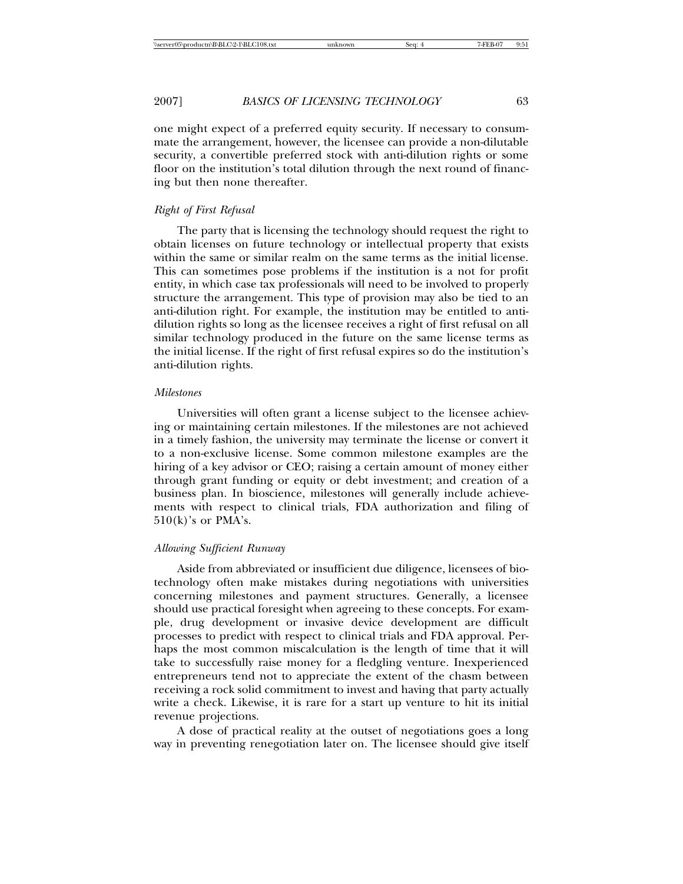one might expect of a preferred equity security. If necessary to consummate the arrangement, however, the licensee can provide a non-dilutable security, a convertible preferred stock with anti-dilution rights or some floor on the institution's total dilution through the next round of financing but then none thereafter.

### *Right of First Refusal*

The party that is licensing the technology should request the right to obtain licenses on future technology or intellectual property that exists within the same or similar realm on the same terms as the initial license. This can sometimes pose problems if the institution is a not for profit entity, in which case tax professionals will need to be involved to properly structure the arrangement. This type of provision may also be tied to an anti-dilution right. For example, the institution may be entitled to antidilution rights so long as the licensee receives a right of first refusal on all similar technology produced in the future on the same license terms as the initial license. If the right of first refusal expires so do the institution's anti-dilution rights.

## *Milestones*

Universities will often grant a license subject to the licensee achieving or maintaining certain milestones. If the milestones are not achieved in a timely fashion, the university may terminate the license or convert it to a non-exclusive license. Some common milestone examples are the hiring of a key advisor or CEO; raising a certain amount of money either through grant funding or equity or debt investment; and creation of a business plan. In bioscience, milestones will generally include achievements with respect to clinical trials, FDA authorization and filing of  $510(k)$ 's or PMA's.

#### *Allowing Sufficient Runway*

Aside from abbreviated or insufficient due diligence, licensees of biotechnology often make mistakes during negotiations with universities concerning milestones and payment structures. Generally, a licensee should use practical foresight when agreeing to these concepts. For example, drug development or invasive device development are difficult processes to predict with respect to clinical trials and FDA approval. Perhaps the most common miscalculation is the length of time that it will take to successfully raise money for a fledgling venture. Inexperienced entrepreneurs tend not to appreciate the extent of the chasm between receiving a rock solid commitment to invest and having that party actually write a check. Likewise, it is rare for a start up venture to hit its initial revenue projections.

A dose of practical reality at the outset of negotiations goes a long way in preventing renegotiation later on. The licensee should give itself